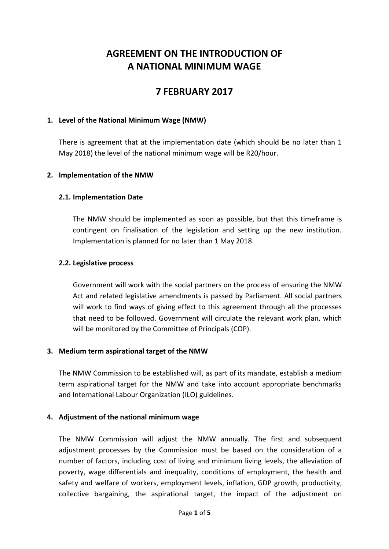# **AGREEMENT ON THE INTRODUCTION OF A NATIONAL MINIMUM WAGE**

## **7 FEBRUARY 2017**

#### **1. Level of the National Minimum Wage (NMW)**

There is agreement that at the implementation date (which should be no later than 1 May 2018) the level of the national minimum wage will be R20/hour.

#### **2. Implementation of the NMW**

#### **2.1. Implementation Date**

The NMW should be implemented as soon as possible, but that this timeframe is contingent on finalisation of the legislation and setting up the new institution. Implementation is planned for no later than 1 May 2018.

#### **2.2. Legislative process**

Government will work with the social partners on the process of ensuring the NMW Act and related legislative amendments is passed by Parliament. All social partners will work to find ways of giving effect to this agreement through all the processes that need to be followed. Government will circulate the relevant work plan, which will be monitored by the Committee of Principals (COP).

#### **3. Medium term aspirational target of the NMW**

The NMW Commission to be established will, as part of its mandate, establish a medium term aspirational target for the NMW and take into account appropriate benchmarks and International Labour Organization (ILO) guidelines.

## **4. Adjustment of the national minimum wage**

The NMW Commission will adjust the NMW annually. The first and subsequent adjustment processes by the Commission must be based on the consideration of a number of factors, including cost of living and minimum living levels, the alleviation of poverty, wage differentials and inequality, conditions of employment, the health and safety and welfare of workers, employment levels, inflation, GDP growth, productivity, collective bargaining, the aspirational target, the impact of the adjustment on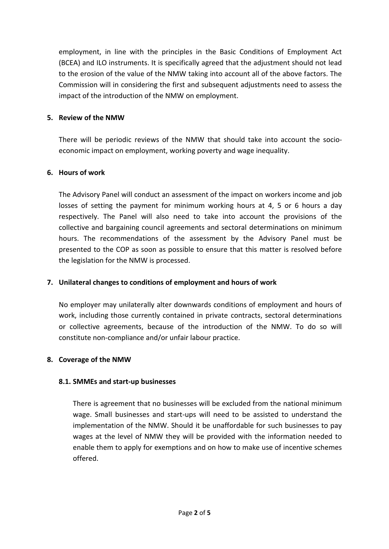employment, in line with the principles in the Basic Conditions of Employment Act (BCEA) and ILO instruments. It is specifically agreed that the adjustment should not lead to the erosion of the value of the NMW taking into account all of the above factors. The Commission will in considering the first and subsequent adjustments need to assess the impact of the introduction of the NMW on employment.

## **5. Review of the NMW**

There will be periodic reviews of the NMW that should take into account the socioeconomic impact on employment, working poverty and wage inequality.

#### **6. Hours of work**

The Advisory Panel will conduct an assessment of the impact on workers income and job losses of setting the payment for minimum working hours at 4, 5 or 6 hours a day respectively. The Panel will also need to take into account the provisions of the collective and bargaining council agreements and sectoral determinations on minimum hours. The recommendations of the assessment by the Advisory Panel must be presented to the COP as soon as possible to ensure that this matter is resolved before the legislation for the NMW is processed.

## **7. Unilateral changes to conditions of employment and hours of work**

No employer may unilaterally alter downwards conditions of employment and hours of work, including those currently contained in private contracts, sectoral determinations or collective agreements, because of the introduction of the NMW. To do so will constitute non-compliance and/or unfair labour practice.

#### **8. Coverage of the NMW**

## **8.1. SMMEs and start-up businesses**

There is agreement that no businesses will be excluded from the national minimum wage. Small businesses and start-ups will need to be assisted to understand the implementation of the NMW. Should it be unaffordable for such businesses to pay wages at the level of NMW they will be provided with the information needed to enable them to apply for exemptions and on how to make use of incentive schemes offered.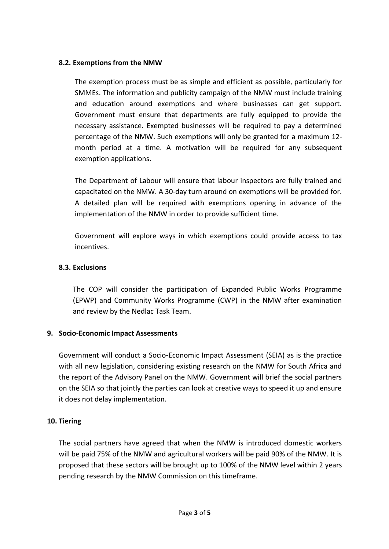## **8.2. Exemptions from the NMW**

The exemption process must be as simple and efficient as possible, particularly for SMMEs. The information and publicity campaign of the NMW must include training and education around exemptions and where businesses can get support. Government must ensure that departments are fully equipped to provide the necessary assistance. Exempted businesses will be required to pay a determined percentage of the NMW. Such exemptions will only be granted for a maximum 12 month period at a time. A motivation will be required for any subsequent exemption applications.

The Department of Labour will ensure that labour inspectors are fully trained and capacitated on the NMW. A 30-day turn around on exemptions will be provided for. A detailed plan will be required with exemptions opening in advance of the implementation of the NMW in order to provide sufficient time.

Government will explore ways in which exemptions could provide access to tax incentives.

## **8.3. Exclusions**

The COP will consider the participation of Expanded Public Works Programme (EPWP) and Community Works Programme (CWP) in the NMW after examination and review by the Nedlac Task Team.

## **9. Socio-Economic Impact Assessments**

Government will conduct a Socio-Economic Impact Assessment (SEIA) as is the practice with all new legislation, considering existing research on the NMW for South Africa and the report of the Advisory Panel on the NMW. Government will brief the social partners on the SEIA so that jointly the parties can look at creative ways to speed it up and ensure it does not delay implementation.

## **10. Tiering**

The social partners have agreed that when the NMW is introduced domestic workers will be paid 75% of the NMW and agricultural workers will be paid 90% of the NMW. It is proposed that these sectors will be brought up to 100% of the NMW level within 2 years pending research by the NMW Commission on this timeframe.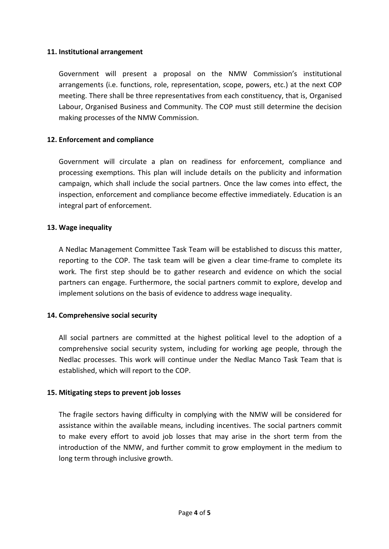## **11. Institutional arrangement**

Government will present a proposal on the NMW Commission's institutional arrangements (i.e. functions, role, representation, scope, powers, etc.) at the next COP meeting. There shall be three representatives from each constituency, that is, Organised Labour, Organised Business and Community. The COP must still determine the decision making processes of the NMW Commission.

## **12. Enforcement and compliance**

Government will circulate a plan on readiness for enforcement, compliance and processing exemptions. This plan will include details on the publicity and information campaign, which shall include the social partners. Once the law comes into effect, the inspection, enforcement and compliance become effective immediately. Education is an integral part of enforcement.

## **13. Wage inequality**

A Nedlac Management Committee Task Team will be established to discuss this matter, reporting to the COP. The task team will be given a clear time-frame to complete its work. The first step should be to gather research and evidence on which the social partners can engage. Furthermore, the social partners commit to explore, develop and implement solutions on the basis of evidence to address wage inequality.

## **14. Comprehensive social security**

All social partners are committed at the highest political level to the adoption of a comprehensive social security system, including for working age people, through the Nedlac processes. This work will continue under the Nedlac Manco Task Team that is established, which will report to the COP.

## **15. Mitigating steps to prevent job losses**

The fragile sectors having difficulty in complying with the NMW will be considered for assistance within the available means, including incentives. The social partners commit to make every effort to avoid job losses that may arise in the short term from the introduction of the NMW, and further commit to grow employment in the medium to long term through inclusive growth.